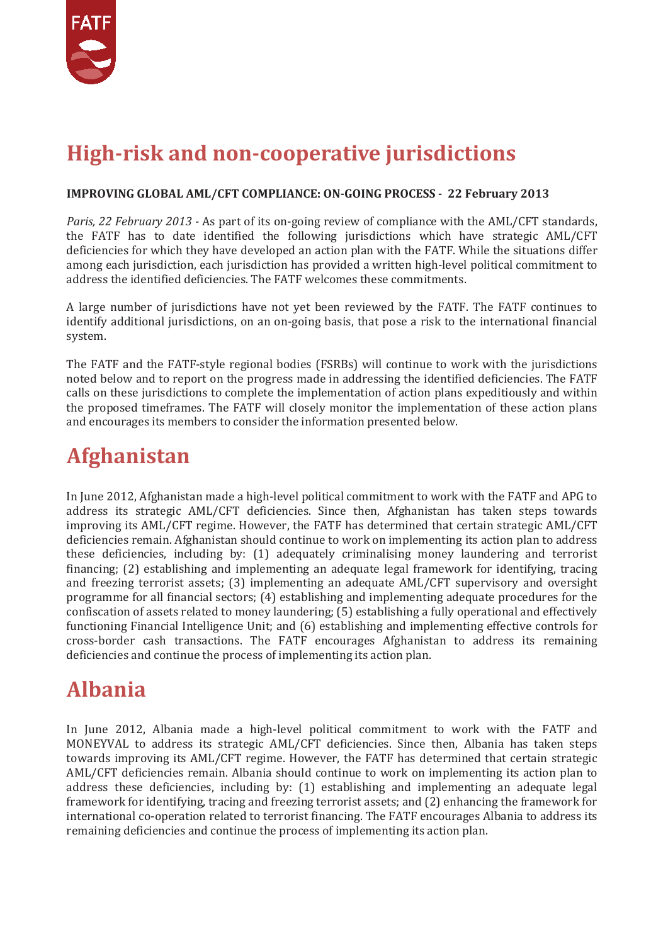

### **High-risk and non-cooperative jurisdictions**

#### **IMPROVING GLOBAL AML/CFT COMPLIANCE: ON-GOING PROCESS - 22 February 2013**

*Paris, 22 February 2013 -* As part of its on-going review of compliance with the AML/CFT standards, the FATF has to date identified the following jurisdictions which have strategic AML/CFT deficiencies for which they have developed an action plan with the FATF. While the situations differ among each jurisdiction, each jurisdiction has provided a written high-level political commitment to address the identified deficiencies. The FATF welcomes these commitments.

A large number of jurisdictions have not yet been reviewed by the FATF. The FATF continues to identify additional jurisdictions, on an on-going basis, that pose a risk to the international financial system.

The FATF and the FATF-style regional bodies (FSRBs) will continue to work with the jurisdictions noted below and to report on the progress made in addressing the identified deficiencies. The FATF calls on these jurisdictions to complete the implementation of action plans expeditiously and within the proposed timeframes. The FATF will closely monitor the implementation of these action plans and encourages its members to consider the information presented below.

#### **Afghanistan**

In June 2012, Afghanistan made a high-level political commitment to work with the FATF and APG to address its strategic AML/CFT deficiencies. Since then, Afghanistan has taken steps towards improving its AML/CFT regime. However, the FATF has determined that certain strategic AML/CFT deficiencies remain. Afghanistan should continue to work on implementing its action plan to address these deficiencies, including by: (1) adequately criminalising money laundering and terrorist financing; (2) establishing and implementing an adequate legal framework for identifying, tracing and freezing terrorist assets; (3) implementing an adequate AML/CFT supervisory and oversight programme for all financial sectors; (4) establishing and implementing adequate procedures for the confiscation of assets related to money laundering; (5) establishing a fully operational and effectively functioning Financial Intelligence Unit; and (6) establishing and implementing effective controls for cross-border cash transactions. The FATF encourages Afghanistan to address its remaining deficiencies and continue the process of implementing its action plan.

### **Albania**

In June 2012, Albania made a high-level political commitment to work with the FATF and MONEYVAL to address its strategic AML/CFT deficiencies. Since then, Albania has taken steps towards improving its AML/CFT regime. However, the FATF has determined that certain strategic AML/CFT deficiencies remain. Albania should continue to work on implementing its action plan to address these deficiencies, including by: (1) establishing and implementing an adequate legal framework for identifying, tracing and freezing terrorist assets; and (2) enhancing the framework for international co-operation related to terrorist financing. The FATF encourages Albania to address its remaining deficiencies and continue the process of implementing its action plan.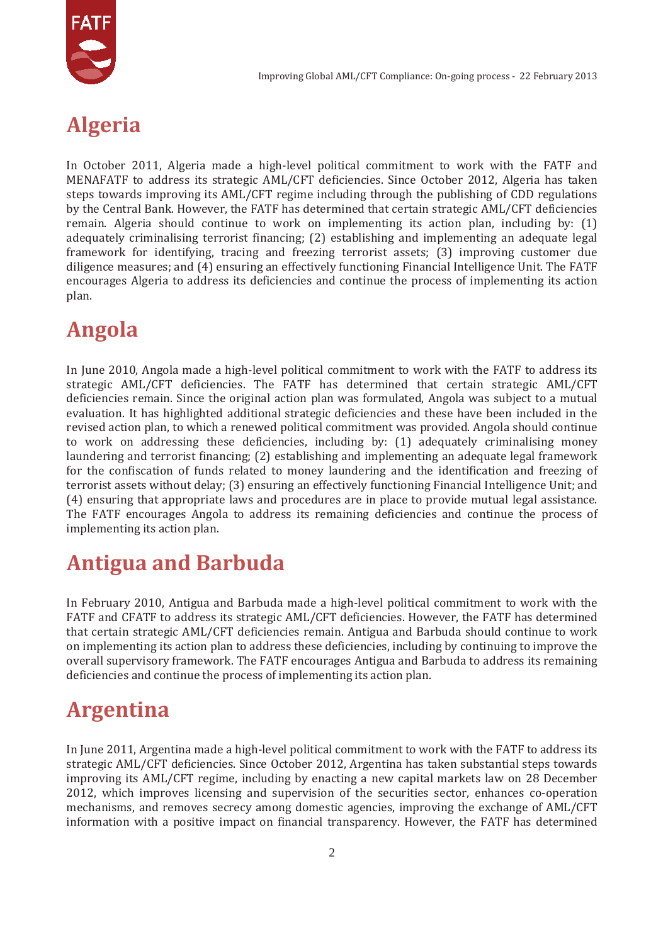

# **Algeria**

In October 2011, Algeria made a high-level political commitment to work with the FATF and MENAFATF to address its strategic AML/CFT deficiencies. Since October 2012, Algeria has taken steps towards improving its AML/CFT regime including through the publishing of CDD regulations by the Central Bank. However, the FATF has determined that certain strategic AML/CFT deficiencies remain. Algeria should continue to work on implementing its action plan, including by: (1) adequately criminalising terrorist financing; (2) establishing and implementing an adequate legal framework for identifying, tracing and freezing terrorist assets; (3) improving customer due diligence measures; and (4) ensuring an effectively functioning Financial Intelligence Unit. The FATF encourages Algeria to address its deficiencies and continue the process of implementing its action plan.

### **Angola**

In June 2010, Angola made a high-level political commitment to work with the FATF to address its strategic AML/CFT deficiencies. The FATF has determined that certain strategic AML/CFT deficiencies remain. Since the original action plan was formulated, Angola was subject to a mutual evaluation. It has highlighted additional strategic deficiencies and these have been included in the revised action plan, to which a renewed political commitment was provided. Angola should continue to work on addressing these deficiencies, including by: (1) adequately criminalising money laundering and terrorist financing; (2) establishing and implementing an adequate legal framework for the confiscation of funds related to money laundering and the identification and freezing of terrorist assets without delay; (3) ensuring an effectively functioning Financial Intelligence Unit; and (4) ensuring that appropriate laws and procedures are in place to provide mutual legal assistance. The FATF encourages Angola to address its remaining deficiencies and continue the process of implementing its action plan.

### **Antigua and Barbuda**

In February 2010, Antigua and Barbuda made a high-level political commitment to work with the FATF and CFATF to address its strategic AML/CFT deficiencies. However, the FATF has determined that certain strategic AML/CFT deficiencies remain. Antigua and Barbuda should continue to work on implementing its action plan to address these deficiencies, including by continuing to improve the overall supervisory framework. The FATF encourages Antigua and Barbuda to address its remaining deficiencies and continue the process of implementing its action plan.

### **Argentina**

In June 2011, Argentina made a high-level political commitment to work with the FATF to address its strategic AML/CFT deficiencies. Since October 2012, Argentina has taken substantial steps towards improving its AML/CFT regime, including by enacting a new capital markets law on 28 December 2012, which improves licensing and supervision of the securities sector, enhances co-operation mechanisms, and removes secrecy among domestic agencies, improving the exchange of AML/CFT information with a positive impact on financial transparency. However, the FATF has determined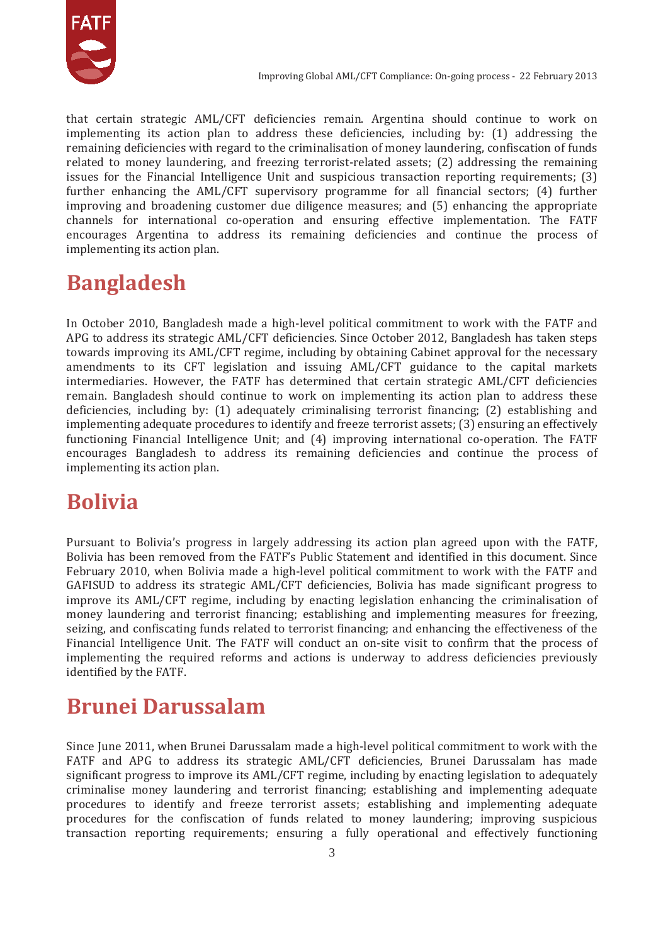

that certain strategic AML/CFT deficiencies remain. Argentina should continue to work on implementing its action plan to address these deficiencies, including by: (1) addressing the remaining deficiencies with regard to the criminalisation of money laundering, confiscation of funds related to money laundering, and freezing terrorist-related assets; (2) addressing the remaining issues for the Financial Intelligence Unit and suspicious transaction reporting requirements; (3) further enhancing the AML/CFT supervisory programme for all financial sectors; (4) further improving and broadening customer due diligence measures; and (5) enhancing the appropriate channels for international co-operation and ensuring effective implementation. The FATF encourages Argentina to address its remaining deficiencies and continue the process of implementing its action plan.

### **Bangladesh**

In October 2010, Bangladesh made a high-level political commitment to work with the FATF and APG to address its strategic AML/CFT deficiencies. Since October 2012, Bangladesh has taken steps towards improving its AML/CFT regime, including by obtaining Cabinet approval for the necessary amendments to its CFT legislation and issuing AML/CFT guidance to the capital markets intermediaries. However, the FATF has determined that certain strategic AML/CFT deficiencies remain. Bangladesh should continue to work on implementing its action plan to address these deficiencies, including by: (1) adequately criminalising terrorist financing; (2) establishing and implementing adequate procedures to identify and freeze terrorist assets; (3) ensuring an effectively functioning Financial Intelligence Unit; and (4) improving international co-operation. The FATF encourages Bangladesh to address its remaining deficiencies and continue the process of implementing its action plan.

### **Bolivia**

Pursuant to Bolivia's progress in largely addressing its action plan agreed upon with the FATF, Bolivia has been removed from the FATF's Public Statement and identified in this document. Since February 2010, when Bolivia made a high-level political commitment to work with the FATF and GAFISUD to address its strategic AML/CFT deficiencies, Bolivia has made significant progress to improve its AML/CFT regime, including by enacting legislation enhancing the criminalisation of money laundering and terrorist financing; establishing and implementing measures for freezing, seizing, and confiscating funds related to terrorist financing; and enhancing the effectiveness of the Financial Intelligence Unit. The FATF will conduct an on-site visit to confirm that the process of implementing the required reforms and actions is underway to address deficiencies previously identified by the FATF.

### **Brunei Darussalam**

Since June 2011, when Brunei Darussalam made a high-level political commitment to work with the FATF and APG to address its strategic AML/CFT deficiencies, Brunei Darussalam has made significant progress to improve its AML/CFT regime, including by enacting legislation to adequately criminalise money laundering and terrorist financing; establishing and implementing adequate procedures to identify and freeze terrorist assets; establishing and implementing adequate procedures for the confiscation of funds related to money laundering; improving suspicious transaction reporting requirements; ensuring a fully operational and effectively functioning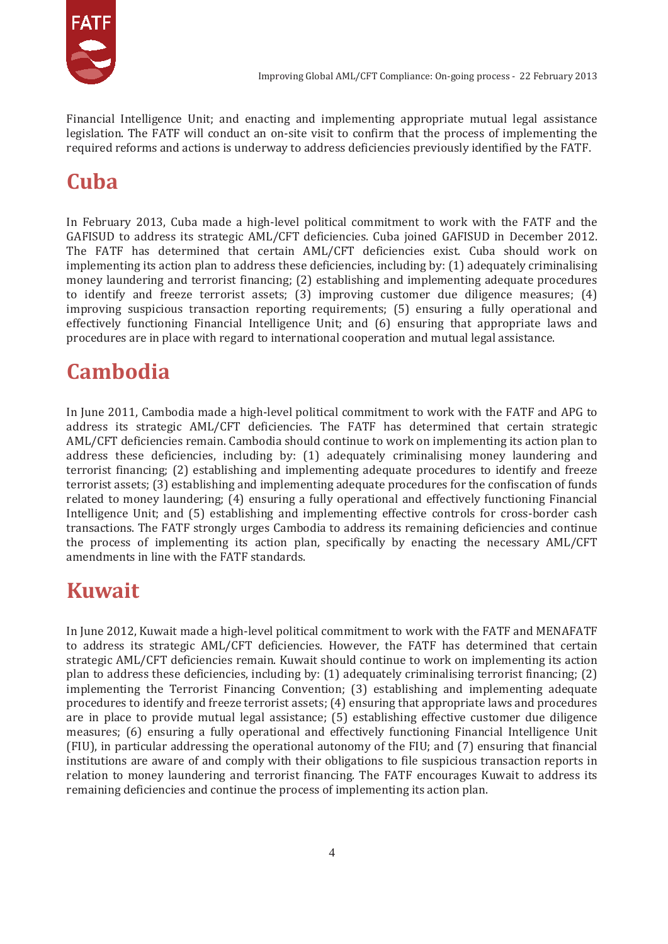

Financial Intelligence Unit; and enacting and implementing appropriate mutual legal assistance legislation. The FATF will conduct an on-site visit to confirm that the process of implementing the required reforms and actions is underway to address deficiencies previously identified by the FATF.

# **Cuba**

In February 2013, Cuba made a high-level political commitment to work with the FATF and the GAFISUD to address its strategic AML/CFT deficiencies. Cuba joined GAFISUD in December 2012. The FATF has determined that certain AML/CFT deficiencies exist. Cuba should work on implementing its action plan to address these deficiencies, including by: (1) adequately criminalising money laundering and terrorist financing; (2) establishing and implementing adequate procedures to identify and freeze terrorist assets; (3) improving customer due diligence measures; (4) improving suspicious transaction reporting requirements; (5) ensuring a fully operational and effectively functioning Financial Intelligence Unit; and (6) ensuring that appropriate laws and procedures are in place with regard to international cooperation and mutual legal assistance.

## **Cambodia**

In June 2011, Cambodia made a high-level political commitment to work with the FATF and APG to address its strategic AML/CFT deficiencies. The FATF has determined that certain strategic AML/CFT deficiencies remain. Cambodia should continue to work on implementing its action plan to address these deficiencies, including by: (1) adequately criminalising money laundering and terrorist financing; (2) establishing and implementing adequate procedures to identify and freeze terrorist assets; (3) establishing and implementing adequate procedures for the confiscation of funds related to money laundering; (4) ensuring a fully operational and effectively functioning Financial Intelligence Unit; and (5) establishing and implementing effective controls for cross-border cash transactions. The FATF strongly urges Cambodia to address its remaining deficiencies and continue the process of implementing its action plan, specifically by enacting the necessary AML/CFT amendments in line with the FATF standards.

# **Kuwait**

In June 2012, Kuwait made a high-level political commitment to work with the FATF and MENAFATF to address its strategic AML/CFT deficiencies. However, the FATF has determined that certain strategic AML/CFT deficiencies remain. Kuwait should continue to work on implementing its action plan to address these deficiencies, including by: (1) adequately criminalising terrorist financing; (2) implementing the Terrorist Financing Convention; (3) establishing and implementing adequate procedures to identify and freeze terrorist assets; (4) ensuring that appropriate laws and procedures are in place to provide mutual legal assistance; (5) establishing effective customer due diligence measures; (6) ensuring a fully operational and effectively functioning Financial Intelligence Unit (FIU), in particular addressing the operational autonomy of the FIU; and (7) ensuring that financial institutions are aware of and comply with their obligations to file suspicious transaction reports in relation to money laundering and terrorist financing. The FATF encourages Kuwait to address its remaining deficiencies and continue the process of implementing its action plan.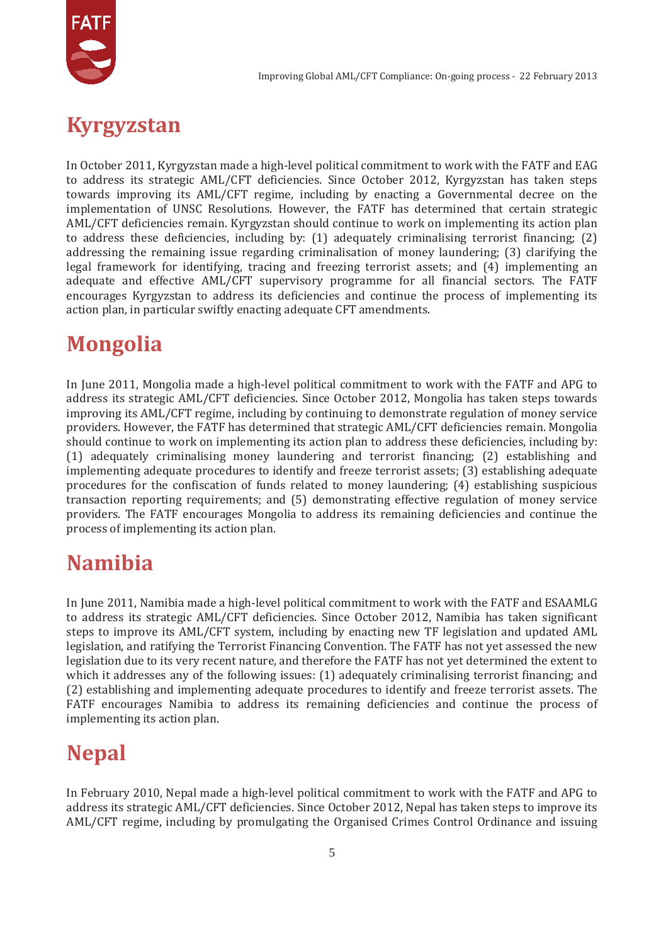



In October 2011, Kyrgyzstan made a high-level political commitment to work with the FATF and EAG to address its strategic AML/CFT deficiencies. Since October 2012, Kyrgyzstan has taken steps towards improving its AML/CFT regime, including by enacting a Governmental decree on the implementation of UNSC Resolutions. However, the FATF has determined that certain strategic AML/CFT deficiencies remain. Kyrgyzstan should continue to work on implementing its action plan to address these deficiencies, including by: (1) adequately criminalising terrorist financing; (2) addressing the remaining issue regarding criminalisation of money laundering; (3) clarifying the legal framework for identifying, tracing and freezing terrorist assets; and (4) implementing an adequate and effective AML/CFT supervisory programme for all financial sectors. The FATF encourages Kyrgyzstan to address its deficiencies and continue the process of implementing its action plan, in particular swiftly enacting adequate CFT amendments.

#### **Mongolia**

In June 2011, Mongolia made a high-level political commitment to work with the FATF and APG to address its strategic AML/CFT deficiencies. Since October 2012, Mongolia has taken steps towards improving its AML/CFT regime, including by continuing to demonstrate regulation of money service providers. However, the FATF has determined that strategic AML/CFT deficiencies remain. Mongolia should continue to work on implementing its action plan to address these deficiencies, including by: (1) adequately criminalising money laundering and terrorist financing; (2) establishing and implementing adequate procedures to identify and freeze terrorist assets; (3) establishing adequate procedures for the confiscation of funds related to money laundering; (4) establishing suspicious transaction reporting requirements; and (5) demonstrating effective regulation of money service providers. The FATF encourages Mongolia to address its remaining deficiencies and continue the process of implementing its action plan.

#### **Namibia**

In June 2011, Namibia made a high-level political commitment to work with the FATF and ESAAMLG to address its strategic AML/CFT deficiencies. Since October 2012, Namibia has taken significant steps to improve its AML/CFT system, including by enacting new TF legislation and updated AML legislation, and ratifying the Terrorist Financing Convention. The FATF has not yet assessed the new legislation due to its very recent nature, and therefore the FATF has not yet determined the extent to which it addresses any of the following issues: (1) adequately criminalising terrorist financing; and (2) establishing and implementing adequate procedures to identify and freeze terrorist assets. The FATF encourages Namibia to address its remaining deficiencies and continue the process of implementing its action plan.

### **Nepal**

In February 2010, Nepal made a high-level political commitment to work with the FATF and APG to address its strategic AML/CFT deficiencies. Since October 2012, Nepal has taken steps to improve its AML/CFT regime, including by promulgating the Organised Crimes Control Ordinance and issuing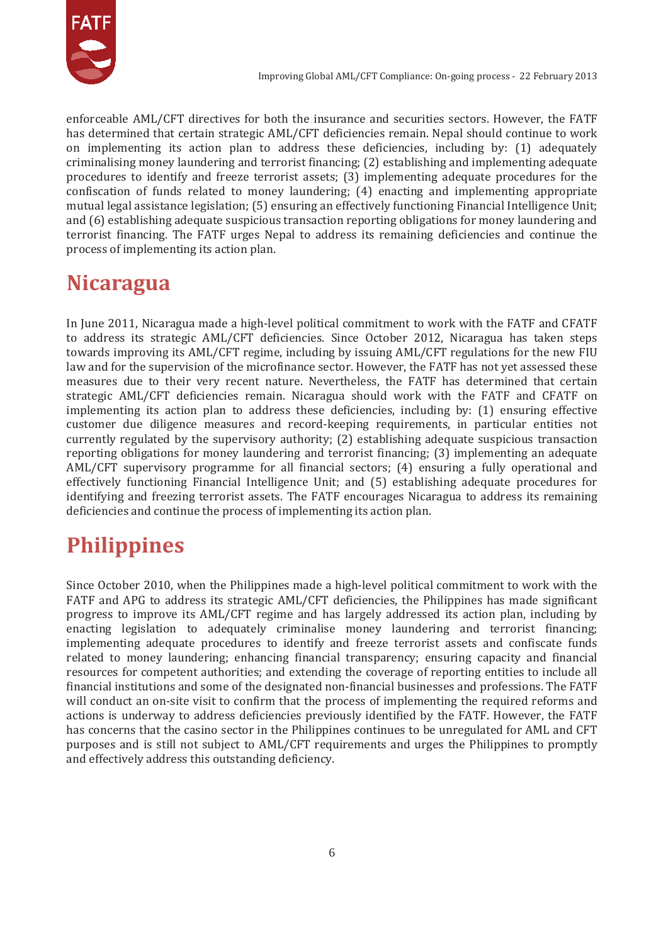

enforceable AML/CFT directives for both the insurance and securities sectors. However, the FATF has determined that certain strategic AML/CFT deficiencies remain. Nepal should continue to work on implementing its action plan to address these deficiencies, including by: (1) adequately criminalising money laundering and terrorist financing; (2) establishing and implementing adequate procedures to identify and freeze terrorist assets; (3) implementing adequate procedures for the confiscation of funds related to money laundering; (4) enacting and implementing appropriate mutual legal assistance legislation; (5) ensuring an effectively functioning Financial Intelligence Unit; and (6) establishing adequate suspicious transaction reporting obligations for money laundering and terrorist financing. The FATF urges Nepal to address its remaining deficiencies and continue the process of implementing its action plan.

### **Nicaragua**

In June 2011, Nicaragua made a high-level political commitment to work with the FATF and CFATF to address its strategic AML/CFT deficiencies. Since October 2012, Nicaragua has taken steps towards improving its AML/CFT regime, including by issuing AML/CFT regulations for the new FIU law and for the supervision of the microfinance sector. However, the FATF has not yet assessed these measures due to their very recent nature. Nevertheless, the FATF has determined that certain strategic AML/CFT deficiencies remain. Nicaragua should work with the FATF and CFATF on implementing its action plan to address these deficiencies, including by: (1) ensuring effective customer due diligence measures and record-keeping requirements, in particular entities not currently regulated by the supervisory authority; (2) establishing adequate suspicious transaction reporting obligations for money laundering and terrorist financing; (3) implementing an adequate AML/CFT supervisory programme for all financial sectors; (4) ensuring a fully operational and effectively functioning Financial Intelligence Unit; and (5) establishing adequate procedures for identifying and freezing terrorist assets. The FATF encourages Nicaragua to address its remaining deficiencies and continue the process of implementing its action plan.

# **Philippines**

Since October 2010, when the Philippines made a high-level political commitment to work with the FATF and APG to address its strategic AML/CFT deficiencies, the Philippines has made significant progress to improve its AML/CFT regime and has largely addressed its action plan, including by enacting legislation to adequately criminalise money laundering and terrorist financing; implementing adequate procedures to identify and freeze terrorist assets and confiscate funds related to money laundering; enhancing financial transparency; ensuring capacity and financial resources for competent authorities; and extending the coverage of reporting entities to include all financial institutions and some of the designated non-financial businesses and professions. The FATF will conduct an on-site visit to confirm that the process of implementing the required reforms and actions is underway to address deficiencies previously identified by the FATF. However, the FATF has concerns that the casino sector in the Philippines continues to be unregulated for AML and CFT purposes and is still not subject to AML/CFT requirements and urges the Philippines to promptly and effectively address this outstanding deficiency.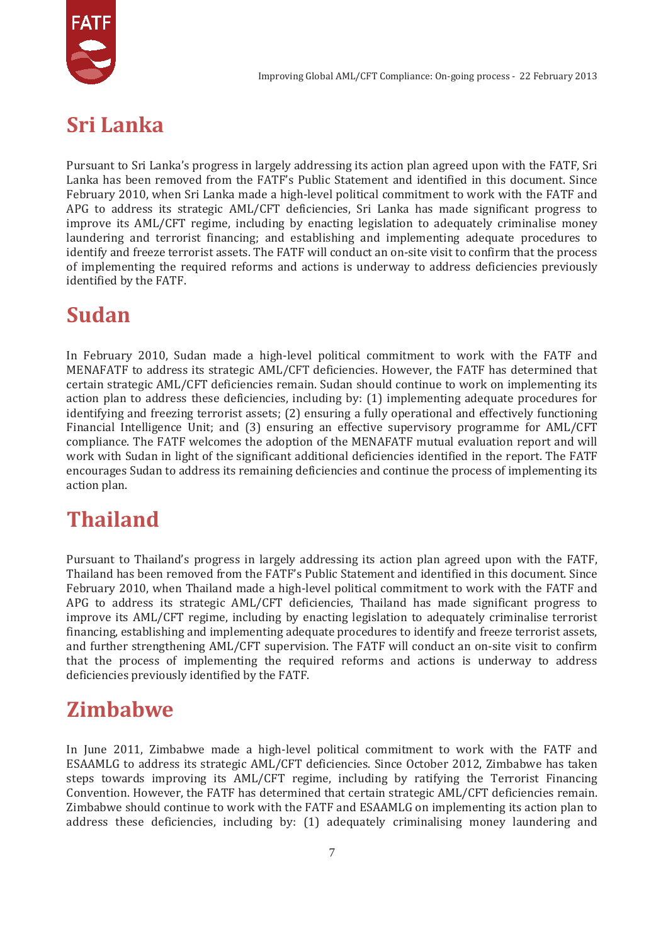

### **Sri Lanka**

Pursuant to Sri Lanka's progress in largely addressing its action plan agreed upon with the FATF, Sri Lanka has been removed from the FATF's Public Statement and identified in this document. Since February 2010, when Sri Lanka made a high-level political commitment to work with the FATF and APG to address its strategic AML/CFT deficiencies, Sri Lanka has made significant progress to improve its AML/CFT regime, including by enacting legislation to adequately criminalise money laundering and terrorist financing; and establishing and implementing adequate procedures to identify and freeze terrorist assets. The FATF will conduct an on-site visit to confirm that the process of implementing the required reforms and actions is underway to address deficiencies previously identified by the FATF.

## **Sudan**

In February 2010, Sudan made a high-level political commitment to work with the FATF and MENAFATF to address its strategic AML/CFT deficiencies. However, the FATF has determined that certain strategic AML/CFT deficiencies remain. Sudan should continue to work on implementing its action plan to address these deficiencies, including by: (1) implementing adequate procedures for identifying and freezing terrorist assets; (2) ensuring a fully operational and effectively functioning Financial Intelligence Unit; and (3) ensuring an effective supervisory programme for AML/CFT compliance. The FATF welcomes the adoption of the MENAFATF mutual evaluation report and will work with Sudan in light of the significant additional deficiencies identified in the report. The FATF encourages Sudan to address its remaining deficiencies and continue the process of implementing its action plan.

### **Thailand**

Pursuant to Thailand's progress in largely addressing its action plan agreed upon with the FATF, Thailand has been removed from the FATF's Public Statement and identified in this document. Since February 2010, when Thailand made a high-level political commitment to work with the FATF and APG to address its strategic AML/CFT deficiencies, Thailand has made significant progress to improve its AML/CFT regime, including by enacting legislation to adequately criminalise terrorist financing, establishing and implementing adequate procedures to identify and freeze terrorist assets, and further strengthening AML/CFT supervision. The FATF will conduct an on-site visit to confirm that the process of implementing the required reforms and actions is underway to address deficiencies previously identified by the FATF.

### **Zimbabwe**

In June 2011, Zimbabwe made a high-level political commitment to work with the FATF and ESAAMLG to address its strategic AML/CFT deficiencies. Since October 2012, Zimbabwe has taken steps towards improving its AML/CFT regime, including by ratifying the Terrorist Financing Convention. However, the FATF has determined that certain strategic AML/CFT deficiencies remain. Zimbabwe should continue to work with the FATF and ESAAMLG on implementing its action plan to address these deficiencies, including by: (1) adequately criminalising money laundering and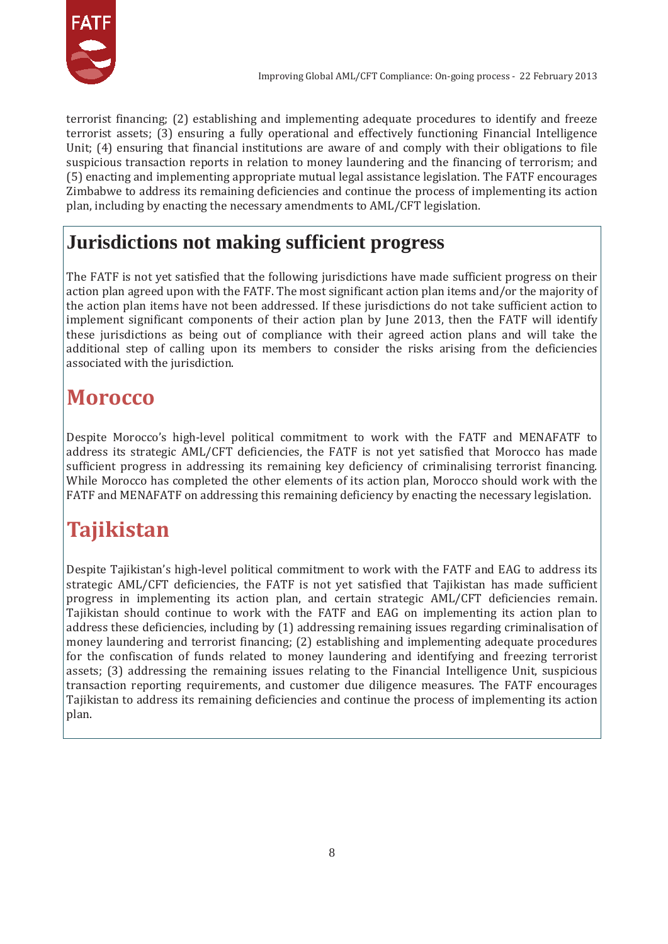

terrorist financing; (2) establishing and implementing adequate procedures to identify and freeze terrorist assets; (3) ensuring a fully operational and effectively functioning Financial Intelligence Unit; (4) ensuring that financial institutions are aware of and comply with their obligations to file suspicious transaction reports in relation to money laundering and the financing of terrorism; and (5) enacting and implementing appropriate mutual legal assistance legislation. The FATF encourages Zimbabwe to address its remaining deficiencies and continue the process of implementing its action plan, including by enacting the necessary amendments to AML/CFT legislation.

#### **Jurisdictions not making sufficient progress**

The FATF is not yet satisfied that the following jurisdictions have made sufficient progress on their action plan agreed upon with the FATF. The most significant action plan items and/or the majority of the action plan items have not been addressed. If these jurisdictions do not take sufficient action to implement significant components of their action plan by June 2013, then the FATF will identify these jurisdictions as being out of compliance with their agreed action plans and will take the additional step of calling upon its members to consider the risks arising from the deficiencies associated with the jurisdiction.

### **Morocco**

Despite Morocco's high-level political commitment to work with the FATF and MENAFATF to address its strategic AML/CFT deficiencies, the FATF is not yet satisfied that Morocco has made sufficient progress in addressing its remaining key deficiency of criminalising terrorist financing. While Morocco has completed the other elements of its action plan, Morocco should work with the FATF and MENAFATF on addressing this remaining deficiency by enacting the necessary legislation.

## **Tajikistan**

Despite Tajikistan's high-level political commitment to work with the FATF and EAG to address its strategic AML/CFT deficiencies, the FATF is not yet satisfied that Tajikistan has made sufficient progress in implementing its action plan, and certain strategic AML/CFT deficiencies remain. Tajikistan should continue to work with the FATF and EAG on implementing its action plan to address these deficiencies, including by (1) addressing remaining issues regarding criminalisation of money laundering and terrorist financing; (2) establishing and implementing adequate procedures for the confiscation of funds related to money laundering and identifying and freezing terrorist assets; (3) addressing the remaining issues relating to the Financial Intelligence Unit, suspicious transaction reporting requirements, and customer due diligence measures. The FATF encourages Tajikistan to address its remaining deficiencies and continue the process of implementing its action plan.